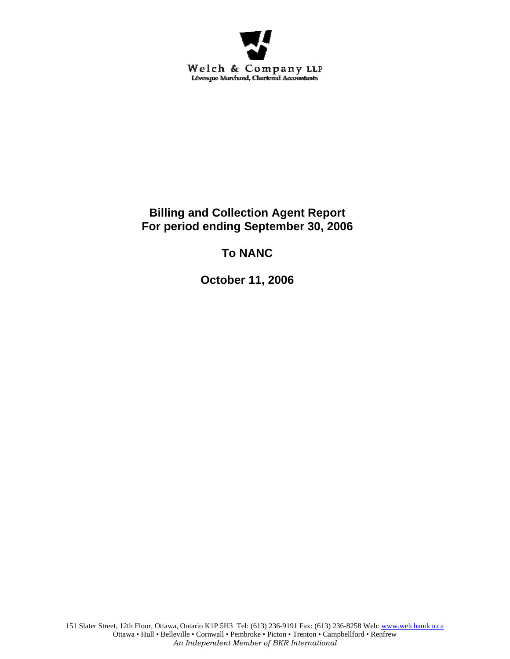

## **Billing and Collection Agent Report For period ending September 30, 2006**

# **To NANC**

**October 11, 2006**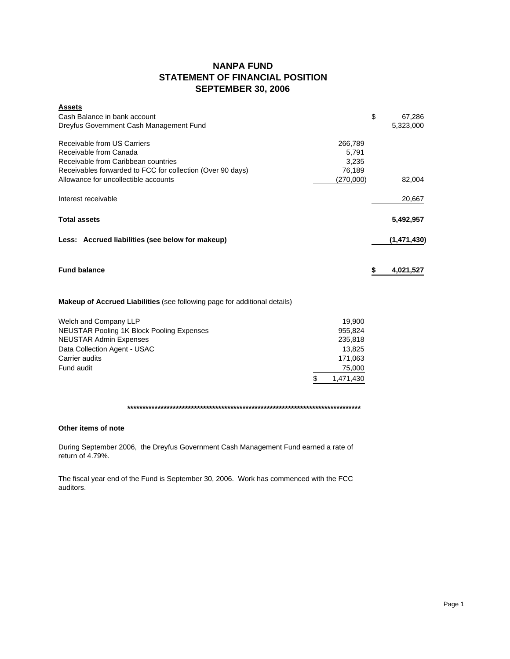### **NANPA FUND STATEMENT OF FINANCIAL POSITION SEPTEMBER 30, 2006**

| <b>Assets</b>                                                                    |           |                 |
|----------------------------------------------------------------------------------|-----------|-----------------|
| Cash Balance in bank account                                                     |           | \$<br>67,286    |
| Dreyfus Government Cash Management Fund                                          |           | 5,323,000       |
| Receivable from US Carriers                                                      | 266,789   |                 |
| Receivable from Canada                                                           | 5,791     |                 |
| Receivable from Caribbean countries                                              | 3,235     |                 |
| Receivables forwarded to FCC for collection (Over 90 days)                       | 76,189    |                 |
| Allowance for uncollectible accounts                                             | (270,000) | 82,004          |
| Interest receivable                                                              |           | 20,667          |
| <b>Total assets</b>                                                              |           | 5,492,957       |
| Less: Accrued liabilities (see below for makeup)                                 |           | (1,471,430)     |
| <b>Fund balance</b>                                                              |           | 4,021,527<br>\$ |
| <b>Makeup of Accrued Liabilities</b> (see following page for additional details) |           |                 |
| Welch and Company LLP                                                            | 19,900    |                 |
| <b>NEUSTAR Pooling 1K Block Pooling Expenses</b>                                 | 955,824   |                 |
| <b>NEUSTAR Admin Expenses</b>                                                    | 235,818   |                 |
| Data Collection Agent - USAC                                                     | 13,825    |                 |
| Carrier audits                                                                   | 171,063   |                 |

**\*\*\*\*\*\*\*\*\*\*\*\*\*\*\*\*\*\*\*\*\*\*\*\*\*\*\*\*\*\*\*\*\*\*\*\*\*\*\*\*\*\*\*\*\*\*\*\*\*\*\*\*\*\*\*\*\*\*\*\*\*\*\*\*\*\*\*\*\*\*\*\*\*\*\*\*\***

\$ 1,471,430

### **Other items of note**

During September 2006, the Dreyfus Government Cash Management Fund earned a rate of return of 4.79%.

Fund audit 75,000

The fiscal year end of the Fund is September 30, 2006. Work has commenced with the FCC auditors.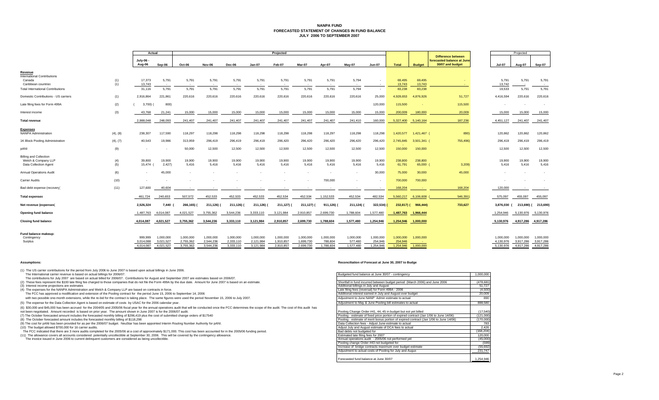#### **NANPA FUND FORECASTED STATEMENT OF CHANGES IN FUND BALANCEJULY 2006 TO SEPTEMBER 2007**

|                                                                               |            | Actual                 |                        | Projected              |                        |                        |                        |                        |                        |                      |                      |                      |                      |                     | Projected                                                                  |                        |                        |                        |
|-------------------------------------------------------------------------------|------------|------------------------|------------------------|------------------------|------------------------|------------------------|------------------------|------------------------|------------------------|----------------------|----------------------|----------------------|----------------------|---------------------|----------------------------------------------------------------------------|------------------------|------------------------|------------------------|
|                                                                               |            | July-06 -<br>Aug-06    | Sep-06                 | Oct-06                 | <b>Nov-06</b>          | Dec-06                 | $Jan-07$               | Feb-07                 | Mar-07                 | Apr-07               | May-07               | <b>Jun-07</b>        | <b>Total</b>         | <b>Budget</b>       | <b>Difference between</b><br>orecasted balance at June<br>30/07 and budget | <b>Jul-07</b>          | Aug-07                 | Sep-07                 |
| Revenue<br><b>International Contributions</b><br>Canada                       | (1)        | 17,373                 | 5,791                  | 5,791                  | 5,791                  | 5,791                  | 5,791                  | 5,791                  | 5,791                  | 5,791                | 5,794                |                      | 69,495               | 69,495              |                                                                            | 5,791                  | 5.791                  | 5,791                  |
| Caribbean countries<br><b>Total International Contributions</b>               | (1)        | 13,743<br>31,116       | $\sim$<br>5,791        | $\sim$<br>5,791        | 5,791                  | $\sim$<br>5,791        | 5,791                  | 5,791                  | $\sim$<br>5,791        | 5,791                | 5,794                | $\sim$<br>$\sim$     | 13,743<br>83,238     | 13,743<br>83,238    |                                                                            | 13,742<br>19,533       | 5,791                  | $\sim$<br>5,791        |
|                                                                               |            |                        |                        |                        |                        |                        |                        |                        |                        |                      |                      |                      |                      |                     |                                                                            |                        |                        |                        |
| Domestic Contributions - US carriers                                          | (1)        | 2,916,864              | 221,861                | 220,616                | 220,616                | 220,616                | 220,616                | 220,616                | 220,616                | 220,616              | 220,616              | 25,000               | 4,928,653            | 4,876,926           | 51,727                                                                     | 4,416,594              | 220,616                | 220,616                |
| Late filing fees for Form 499A                                                | (2)        | 3,700                  | 800)                   |                        |                        |                        |                        |                        |                        |                      |                      | 120,000              | 115,500              |                     | 115,500                                                                    |                        |                        | $\sim$                 |
| Interest income                                                               | (3)        | 43.768                 | 21,241                 | 15,000                 | 15,000                 | 15,000                 | 15,000                 | 15,000                 | 15,000                 | 15,000               | 15,000               | 15,000               | 200,009              | 180,000             | 20,009                                                                     | 15,000                 | 15,000                 | 15,000                 |
| <b>Total revenue</b>                                                          |            | 2.988.048              | 248,093                | 241,407                | 241,407                | 241,407                | 241,407                | 241,407                | 241,407                | 241,407              | 241,410              | 160,000              | 5,327,400            | 5,140,164           | 187,236                                                                    | 4,451,127              | 241,407                | 241,407                |
| <b>Expenses</b><br><b>NANPA Administration</b>                                | (4), (8)   | 238,307                | 117,590                | 118,297                | 118,298                | 118,298                | 118,298                | 118,298                | 118,298                | 118,297              | 118,298              | 118,298              | 1,420,577            | 1,421,467 (         | 890)                                                                       | 120.862                | 120,862                | 120,862                |
| 1K Block Pooling Administration                                               | (4), (7)   | 40,543                 | 19,986                 | 313,959                | 296,419                | 296,419                | 296,419                | 296,420                | 296,420                | 296,420              | 296,420              | 296,420              | 2,745,845            | 3,501,341 (         | 755,496)                                                                   | 296,419                | 296,419                | 296,419                |
| pANI                                                                          | (9)        |                        | $\sim$                 | 50,000                 | 12,500                 | 12,500                 | 12,500                 | 12,500                 | 12,500                 | 12,500               | 12,500               | 12,500               | 150,000              | 150,000             |                                                                            | 12,500                 | 12,500                 | 12,500                 |
| <b>Billing and Collection</b><br>Welch & Company LLP<br>Data Collection Agent | (4)<br>(5) | 39,800<br>15,474       | 19,900<br>2,427        | 19,900<br>5,416        | 19,900<br>5.416        | 19,900<br>5,416        | 19,900<br>5.416        | 19,900<br>5.416        | 19,900<br>5,416        | 19,900<br>5.416      | 19,900<br>5.416      | 19,900<br>5.416      | 238,800<br>61,791    | 238,800<br>65,000 ( | 3,209                                                                      | 19,900<br>5,416        | 19,900<br>5.416        | 19,900<br>5,416        |
| <b>Annual Operations Audit</b>                                                | (6)        |                        | 45,000                 |                        |                        |                        |                        |                        |                        |                      |                      | 30,000               | 75,000               | 30,000              | 45,000                                                                     |                        |                        |                        |
| Carrier Audits                                                                | (10)       |                        |                        |                        |                        |                        |                        |                        |                        | 700,000              |                      |                      | 700,000              | 700,000             |                                                                            |                        |                        |                        |
| Bad debt expense (recovery)                                                   | (11)       | 127,600                | 40.604                 |                        |                        |                        |                        |                        |                        |                      |                      | $\sim$               | 168,204              |                     | 168,204                                                                    | 120,000                |                        |                        |
| <b>Total expenses</b>                                                         |            | 461,724                | 240,653                | 507,572                | 452,533                | 452,533                | 452,533                | 452,534                | 452,534                | 1,152,533            | 452,534              | 482,534              | 5,560,217            | 6,106,608           | 546,391)                                                                   | 575,097                | 455,097                | 455,097                |
| Net revenue (expenses)                                                        |            | 2,526,324              | 7,440                  | 266,165) (             | 211,126)               | 211,126)               | 211,126) (             | 211,127) (             | 211,127)               | 911,126)             | 211,124)             | 322,534)             |                      | 232,817) ( 966,444) | 733,627                                                                    | 3,876,030 (            | 213,690) (             | 213,690)               |
| Opening fund balance                                                          |            | 1.487.763              | 4,014,087              | 4,021,527              | 3,755,362              | 3,544,236              | 3,333,110              | 3,121,984              | 2,910,857              | 2,699,730            | 1,788,604            | 1,577,480            | 1,487,763            | 1,966,444           |                                                                            | 1,254,946              | 5,130,976              | 5,130,976              |
| Closing fund balance                                                          |            | 4.014.087              | 4,021,527              | 3,755,362              | 3,544,236              | 3,333,110              | 3,121,984              | 2,910,857              | 2,699,730              | 1,788,604            | 1,577,480            | 1,254,946            | 1,254,946            | 1,000,000           |                                                                            | 5.130.976              | 4,917,286              | 4,917,286              |
| Fund balance makeup:<br>Contingency                                           |            | 999,999                | 1,000,000              | 1,000,000              | 1,000,000              | 1,000,000              | 1,000,000              | 1,000,000              | 1,000,000              | 1,000,000            | 1,000,000            | 1,000,000            | 1,000,000            | 1,000,000           |                                                                            | 1,000,000              | 1,000,000              | 1,000,000              |
| Surplus                                                                       |            | 3,014,088<br>4.014.087 | 3,021,527<br>4.021.527 | 2,755,362<br>3,755,362 | 2,544,236<br>3.544.236 | 2,333,110<br>3.333.110 | 2,121,984<br>3.121.984 | 1,910,857<br>2.910.857 | 1,699,730<br>2.699.730 | 788,604<br>1.788.604 | 577,480<br>1.577.480 | 254,946<br>1.254.946 | 254,946<br>1,254,946 | 1.000.000           |                                                                            | 4,130,976<br>5.130.976 | 3,917,286<br>4.917.286 | 3,917,286<br>4,917,286 |

(1) The US carrier contributions for the period from July 2006 to June 2007 is based upon actual billings in June 2006.

#### **Assumptions: Reconciliation of Forecast at June 30, 2007 to Budge**

| The International carrier revenue is based on actual billings for 2006/07.                                                                                                                                           | Budgeted fund balance at June 30/07 - contingency                                      | 1,000,000  |
|----------------------------------------------------------------------------------------------------------------------------------------------------------------------------------------------------------------------|----------------------------------------------------------------------------------------|------------|
| The contributions for July 2007 are based on actual billed for 2006/07. Contributions for August and September 2007 are estimates based on 2006/07.                                                                  |                                                                                        |            |
| (2) These fees represent the \$100 late filing fee charged to those companies that do not file the Form 499A by the due date. Amount for June 2007 is based on an estimate.                                          | Shortfall in fund incurred between budget period (March 2006) and June 2006            | (478, 681) |
| (3) Interest income projections are estimates                                                                                                                                                                        | Additional billings in July and August                                                 | 51,727     |
| (4) The expenses for the NANPA Administration and Welch & Company LLP are based on contracts in force.                                                                                                               | Late filing fees (reversal) for Form 499A - 2006                                       | (4,500)    |
| The FCC has approved a modification and extension of the Pooling contract for the period June 15, 2006 to September 14, 2006                                                                                         | Additional interest earned in July and August over budget                              | 20.009     |
| with two possible one-month extensions, while the re-bid for the contract is taking place. The same figures were used the period November 15, 2006 to July 2007.                                                     | Adjustment to June NANP Admin estimate to actual                                       | 890        |
| (5) The expense for the Data Collection Agent is based on estimate of costs by USAC for the 2006 calendar year.                                                                                                      | Adjustment to May & June Pooling bill estimates to actual                              | 888.580    |
| (6) \$30,000 and \$45,000 has been accrued for the 2004/05 and 2005/06 fiscal year for the annual operations audit that will be conducted once the FCC determines the scope of the audit. The cost of this audit has |                                                                                        |            |
| not been negotiated. Amount recorded is based on prior year. The amount shown in June 2007 is for the 2006/07 audit.                                                                                                 | Pooling Change Order #41, 44, 45 in budget but not yet billed                          | (17, 540)  |
| (7) The October forecasted amount includes the forecasted monthly billing of \$296,419 plus the cost of submitted change orders of \$17540                                                                           | Pooling - estimate of fixed price portion of expired contract (Jan 1/06 to June 14/06) | (121,000)  |
| (8) The October forecasted amount includes the forecasted monthly billing of \$118,298                                                                                                                               | Pooling - estimate of merit bonus portion of expired contract (Jan 1/06 to June 14/06) | (170,000)  |
| (9) The cost for pANI has been provided for as per the 2006/07 budget. NeuStar has been appointed Interim Routing Number Authority for pANI.                                                                         | Data Collection fees - Adjust June estimate to actual                                  | 783        |
| (10) The budget allowed \$700,000 for 16 carrier audits.                                                                                                                                                             | Adjust July and August estimate of DCA fees to actual                                  | 2.426      |
| The FCC indicated that there are 3 more audits completed for the 2005/06 at a cost of approximately \$171,000. This cost has been accounted for in the 2005/06 funding period.                                       | Bad debts not budgeted for                                                             | (168, 204) |
| (11) The allowance covers all accounts considered potentially uncollectible at September 30, 2006. This will be covered by the contingency allowance.                                                                | Estimated late filing fees for 2007                                                    | 120,000    |
| The invoice issued in June 2006 to current delinguent customers are considered as being uncollectible.                                                                                                               | Annual operations audit - 2005/06 not performed yet                                    | (45,000)   |
|                                                                                                                                                                                                                      | Pooling change Order #43 not budgeted for                                              | (599)      |
|                                                                                                                                                                                                                      | Increase of bridge contracts maximum over budget estimate                              | (55, 692)  |
|                                                                                                                                                                                                                      | Adjustment to actual costs of Pooling for July and Augus                               | 231,747    |
|                                                                                                                                                                                                                      | Forecasted fund balance at June 30/07                                                  | 1.254.946  |
|                                                                                                                                                                                                                      |                                                                                        |            |